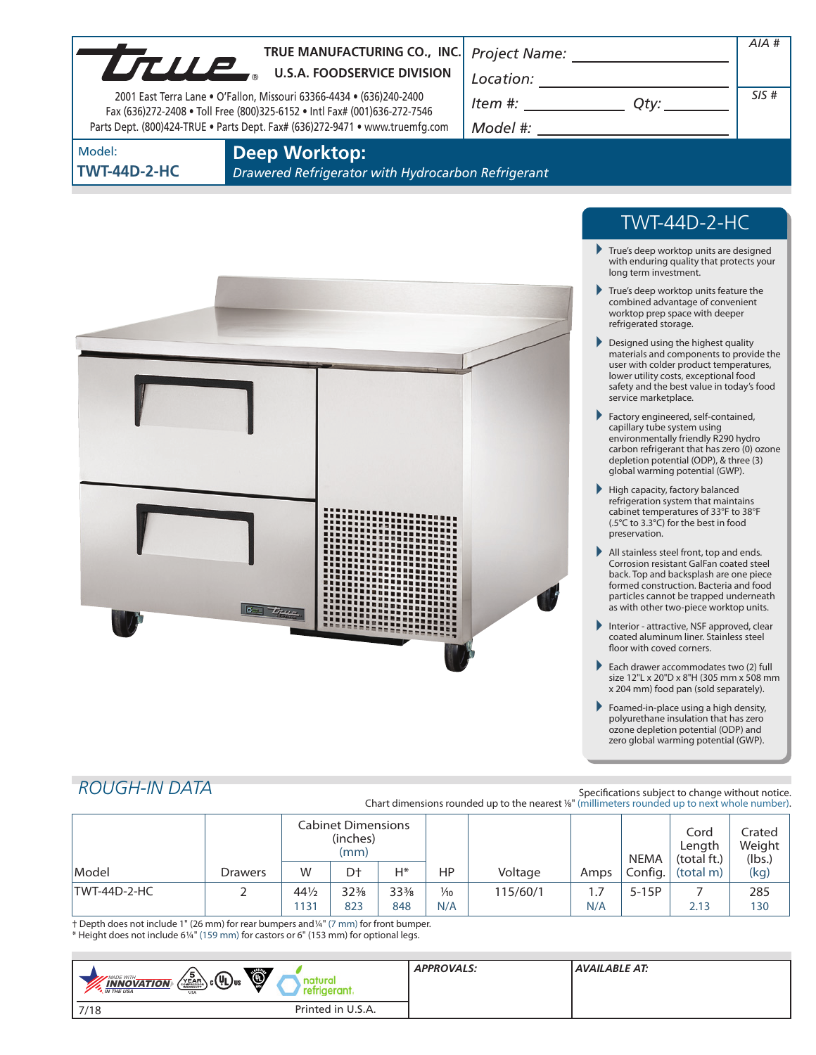| UTULE                         | TRUE MANUFACTURING CO., INC.<br><b>U.S.A. FOODSERVICE DIVISION</b><br>2001 East Terra Lane • O'Fallon, Missouri 63366-4434 • (636)240-2400<br>Fax (636)272-2408 . Toll Free (800)325-6152 . Intl Fax# (001)636-272-7546<br>Parts Dept. (800)424-TRUE . Parts Dept. Fax# (636)272-9471 . www.truemfg.com | Project Name:<br>Location:<br>Item #:<br>Model #: | Qty:                                                                                                                               | AIA#<br>SIS# |
|-------------------------------|---------------------------------------------------------------------------------------------------------------------------------------------------------------------------------------------------------------------------------------------------------------------------------------------------------|---------------------------------------------------|------------------------------------------------------------------------------------------------------------------------------------|--------------|
| Model:<br><b>TWT-44D-2-HC</b> | <b>Deep Worktop:</b><br>Drawered Refrigerator with Hydrocarbon Refrigerant                                                                                                                                                                                                                              |                                                   |                                                                                                                                    |              |
|                               |                                                                                                                                                                                                                                                                                                         |                                                   | <b>TWT-44D-2-HC</b><br>True's deep worktop units are designed<br>with enduring quality that protects your<br>long term investment. |              |

- True's deep worktop units feature the combined advantage of convenient worktop prep space with deeper refrigerated storage.
- Designed using the highest quality materials and components to provide the user with colder product temperatures, lower utility costs, exceptional food safety and the best value in today's food service marketplace.
- Factory engineered, self-contained, capillary tube system using environmentally friendly R290 hydro carbon refrigerant that has zero (0) ozone depletion potential (ODP), & three (3) global warming potential (GWP).
- High capacity, factory balanced refrigeration system that maintains cabinet temperatures of 33°F to 38°F (.5°C to 3.3°C) for the best in food preservation.
- All stainless steel front, top and ends. Corrosion resistant GalFan coated steel back. Top and backsplash are one piece formed construction. Bacteria and food particles cannot be trapped underneath as with other two-piece worktop units.
- Interior attractive, NSF approved, clear coated aluminum liner. Stainless steel floor with coved corners.
- Each drawer accommodates two (2) full size 12"L x 20"D x 8"H (305 mm x 508 mm x 204 mm) food pan (sold separately).
- Foamed-in-place using a high density, polyurethane insulation that has zero ozone depletion potential (ODP) and zero global warming potential (GWP).

# *ROUGH-IN DATA*

Specifications subject to change without notice. Chart dimensions rounded up to the nearest %" (millimeters rounded up to next whole number).

|              |                | Cabinet Dimensions<br>(inches)<br>(mm) |                 |     |                |          |      | <b>NEMA</b> | Cord<br>Length<br>(total ft.) | Crated<br>Weight<br>(lbs.) |
|--------------|----------------|----------------------------------------|-----------------|-----|----------------|----------|------|-------------|-------------------------------|----------------------------|
| Model        | <b>Drawers</b> | W                                      | D <sup>+</sup>  | Н*  | HP             | Voltage  | Amps | Config.     | (total m)                     | (kg)                       |
| TWT-44D-2-HC |                | $44\frac{1}{2}$                        | $32\frac{3}{8}$ | 33% | $\frac{1}{10}$ | 115/60/1 | 1.7  | $5-15P$     |                               | 285                        |
|              |                | 131                                    | 823             | 848 | N/A            |          | N/A  |             | 2.13                          | 130                        |

† Depth does not include 1" (26 mm) for rear bumpers and1/4" (7 mm) for front bumper. \* Height does not include 61/4" (159 mm) for castors or 6" (153 mm) for optional legs.

 $\sigma$   $T_{true}$ 

| Ö<br>ъ<br>$_{\rm b}$ c $(\overline{\Psi_{\rm L}})_{\rm us}$<br>MADE WITH_<br>YEAR<br>$\frac{INNOVATION}{IN THE USA}$<br>USA | <b>APPROVALS:</b> | AVAILABLE AT: |
|-----------------------------------------------------------------------------------------------------------------------------|-------------------|---------------|
| Printed in U.S.A.<br>7/18                                                                                                   |                   |               |